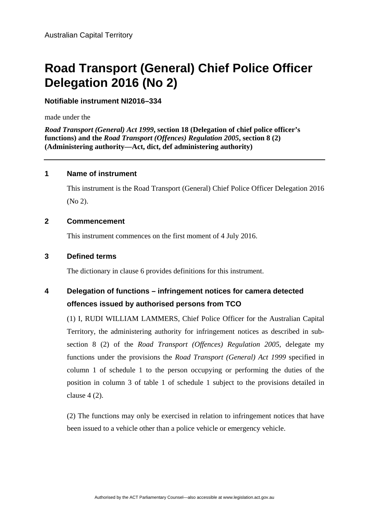# **Road Transport (General) Chief Police Officer Delegation 2016 (No 2)**

**Notifiable instrument NI2016–334**

made under the

*Road Transport (General) Act 1999***, section 18 (Delegation of chief police officer's functions) and the** *Road Transport (Offences) Regulation 2005***, section 8 (2) (Administering authority—Act, dict, def administering authority)** 

### **1 Name of instrument**

This instrument is the Road Transport (General) Chief Police Officer Delegation 2016 (No 2).

### **2 Commencement**

This instrument commences on the first moment of 4 July 2016.

### **3 Defined terms**

The dictionary in clause 6 provides definitions for this instrument.

### **4 Delegation of functions – infringement notices for camera detected offences issued by authorised persons from TCO**

(1) I, RUDI WILLIAM LAMMERS, Chief Police Officer for the Australian Capital Territory, the administering authority for infringement notices as described in subsection 8 (2) of the *Road Transport (Offences) Regulation 2005*, delegate my functions under the provisions the *Road Transport (General) Act 1999* specified in column 1 of schedule 1 to the person occupying or performing the duties of the position in column 3 of table 1 of schedule 1 subject to the provisions detailed in clause 4 (2).

(2) The functions may only be exercised in relation to infringement notices that have been issued to a vehicle other than a police vehicle or emergency vehicle.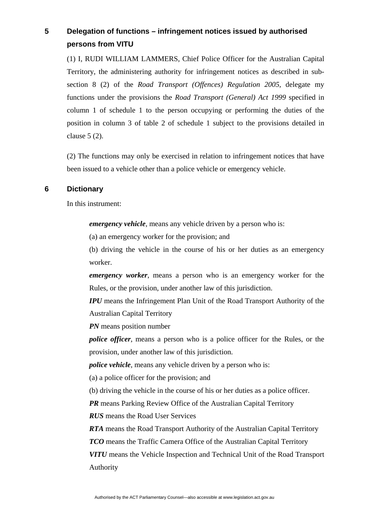## **5 Delegation of functions – infringement notices issued by authorised persons from VITU**

(1) I, RUDI WILLIAM LAMMERS, Chief Police Officer for the Australian Capital Territory, the administering authority for infringement notices as described in subsection 8 (2) of the *Road Transport (Offences) Regulation 2005*, delegate my functions under the provisions the *Road Transport (General) Act 1999* specified in column 1 of schedule 1 to the person occupying or performing the duties of the position in column 3 of table 2 of schedule 1 subject to the provisions detailed in clause 5 (2).

(2) The functions may only be exercised in relation to infringement notices that have been issued to a vehicle other than a police vehicle or emergency vehicle.

#### **6 Dictionary**

In this instrument:

*emergency vehicle*, means any vehicle driven by a person who is:

(a) an emergency worker for the provision; and

(b) driving the vehicle in the course of his or her duties as an emergency worker.

*emergency worker*, means a person who is an emergency worker for the Rules, or the provision, under another law of this jurisdiction.

*IPU* means the Infringement Plan Unit of the Road Transport Authority of the Australian Capital Territory

*PN* means position number

*police officer*, means a person who is a police officer for the Rules, or the provision, under another law of this jurisdiction.

*police vehicle*, means any vehicle driven by a person who is:

(a) a police officer for the provision; and

(b) driving the vehicle in the course of his or her duties as a police officer.

*PR* means Parking Review Office of the Australian Capital Territory

*RUS* means the Road User Services

*RTA* means the Road Transport Authority of the Australian Capital Territory

*TCO* means the Traffic Camera Office of the Australian Capital Territory

*VITU* means the Vehicle Inspection and Technical Unit of the Road Transport Authority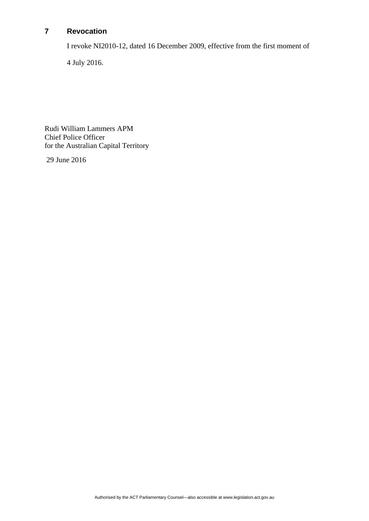### **7 Revocation**

I revoke NI2010-12, dated 16 December 2009, effective from the first moment of

4 July 2016.

Rudi William Lammers APM Chief Police Officer for the Australian Capital Territory

29 June 2016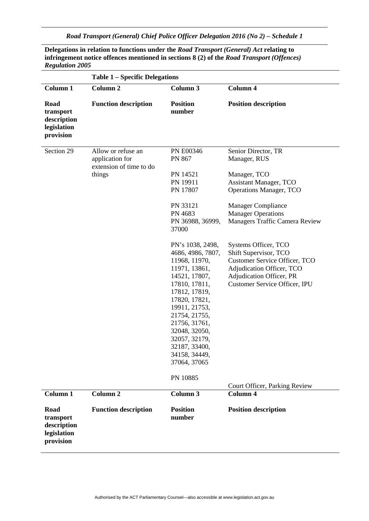*Road Transport (General) Chief Police Officer Delegation 2016 (No 2) – Schedule 1* 

| <b>Regulation 2005</b>                                       |                                                                            |                                                                                                                                                                                                                                                                                                |                                                                                                                                                                                                             |
|--------------------------------------------------------------|----------------------------------------------------------------------------|------------------------------------------------------------------------------------------------------------------------------------------------------------------------------------------------------------------------------------------------------------------------------------------------|-------------------------------------------------------------------------------------------------------------------------------------------------------------------------------------------------------------|
|                                                              | <b>Table 1 – Specific Delegations</b>                                      |                                                                                                                                                                                                                                                                                                |                                                                                                                                                                                                             |
| <b>Column 1</b>                                              | <b>Column 2</b>                                                            | Column <sub>3</sub>                                                                                                                                                                                                                                                                            | Column 4                                                                                                                                                                                                    |
| Road<br>transport<br>description<br>legislation<br>provision | <b>Function description</b>                                                | <b>Position</b><br>number                                                                                                                                                                                                                                                                      | <b>Position description</b>                                                                                                                                                                                 |
| Section 29                                                   | Allow or refuse an<br>application for<br>extension of time to do<br>things | <b>PN E00346</b><br>PN 867<br>PN 14521<br>PN 19911<br>PN 17807<br>PN 33121<br>PN 4683<br>PN 36988, 36999,<br>37000                                                                                                                                                                             | Senior Director, TR<br>Manager, RUS<br>Manager, TCO<br><b>Assistant Manager, TCO</b><br><b>Operations Manager, TCO</b><br>Manager Compliance<br><b>Manager Operations</b><br>Managers Traffic Camera Review |
|                                                              |                                                                            | PN's 1038, 2498,<br>4686, 4986, 7807,<br>11968, 11970,<br>11971, 13861,<br>14521, 17807,<br>17810, 17811,<br>17812, 17819,<br>17820, 17821,<br>19911, 21753,<br>21754, 21755,<br>21756, 31761,<br>32048, 32050,<br>32057, 32179.<br>32187, 33400,<br>34158, 34449,<br>37064, 37065<br>PN 10885 | Systems Officer, TCO<br>Shift Supervisor, TCO<br>Customer Service Officer, TCO<br>Adjudication Officer, TCO<br>Adjudication Officer, PR<br><b>Customer Service Officer, IPU</b>                             |
| Column <sub>1</sub>                                          | <b>Column 2</b>                                                            | Column 3                                                                                                                                                                                                                                                                                       | Court Officer, Parking Review<br>Column 4                                                                                                                                                                   |
| Road<br>transport<br>description<br>legislation<br>provision | <b>Function description</b>                                                | <b>Position</b><br>number                                                                                                                                                                                                                                                                      | <b>Position description</b>                                                                                                                                                                                 |

**Delegations in relation to functions under the** *Road Transport (General) Act* **relating to infringement notice offences mentioned in sections 8 (2) of the** *Road Transport (Offences)*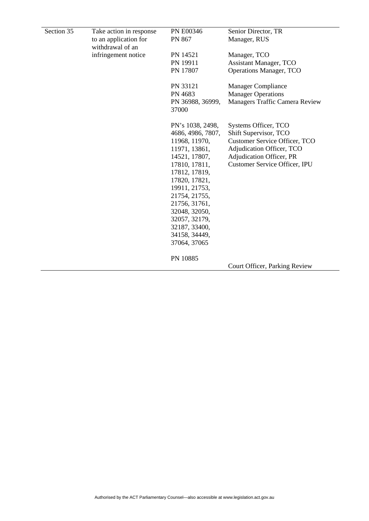| Section 35 | Take action in response | PN E00346                 | Senior Director, TR                   |
|------------|-------------------------|---------------------------|---------------------------------------|
|            | to an application for   | PN 867                    | Manager, RUS                          |
|            | withdrawal of an        |                           |                                       |
|            | infringement notice     | PN 14521                  | Manager, TCO                          |
|            |                         | PN 19911                  | <b>Assistant Manager, TCO</b>         |
|            |                         | PN 17807                  | <b>Operations Manager, TCO</b>        |
|            |                         | PN 33121                  | <b>Manager Compliance</b>             |
|            |                         | PN 4683                   | <b>Manager Operations</b>             |
|            |                         | PN 36988, 36999,<br>37000 | <b>Managers Traffic Camera Review</b> |
|            |                         | PN's 1038, 2498,          | Systems Officer, TCO                  |
|            |                         | 4686, 4986, 7807,         | Shift Supervisor, TCO                 |
|            |                         | 11968, 11970,             | Customer Service Officer, TCO         |
|            |                         | 11971, 13861,             | Adjudication Officer, TCO             |
|            |                         | 14521, 17807,             | Adjudication Officer, PR              |
|            |                         | 17810, 17811,             | <b>Customer Service Officer, IPU</b>  |
|            |                         | 17812, 17819,             |                                       |
|            |                         | 17820, 17821,             |                                       |
|            |                         | 19911, 21753,             |                                       |
|            |                         | 21754, 21755,             |                                       |
|            |                         | 21756, 31761,             |                                       |
|            |                         | 32048, 32050,             |                                       |
|            |                         | 32057, 32179,             |                                       |
|            |                         | 32187, 33400,             |                                       |
|            |                         | 34158, 34449,             |                                       |
|            |                         | 37064, 37065              |                                       |
|            |                         | PN 10885                  |                                       |
|            |                         |                           | Court Officer, Parking Review         |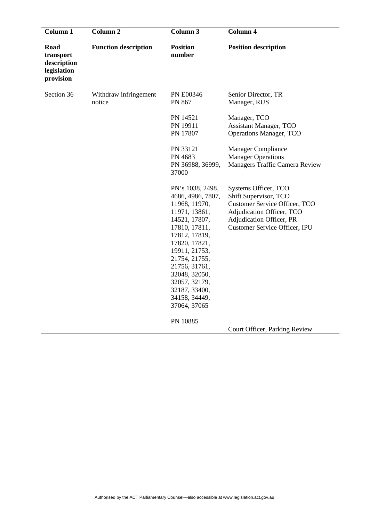| Column 1                                                     | Column <sub>2</sub>             | Column 3                                                                                                                                                                                                                                                                           | Column 4                                                                                                                                                                               |
|--------------------------------------------------------------|---------------------------------|------------------------------------------------------------------------------------------------------------------------------------------------------------------------------------------------------------------------------------------------------------------------------------|----------------------------------------------------------------------------------------------------------------------------------------------------------------------------------------|
| Road<br>transport<br>description<br>legislation<br>provision | <b>Function description</b>     | <b>Position</b><br>number                                                                                                                                                                                                                                                          | <b>Position description</b>                                                                                                                                                            |
| Section 36                                                   | Withdraw infringement<br>notice | <b>PN E00346</b><br>PN 867                                                                                                                                                                                                                                                         | Senior Director, TR<br>Manager, RUS                                                                                                                                                    |
|                                                              |                                 | PN 14521<br>PN 19911<br>PN 17807                                                                                                                                                                                                                                                   | Manager, TCO<br><b>Assistant Manager, TCO</b><br><b>Operations Manager, TCO</b>                                                                                                        |
|                                                              |                                 | PN 33121<br>PN 4683<br>PN 36988, 36999,<br>37000                                                                                                                                                                                                                                   | <b>Manager Compliance</b><br><b>Manager Operations</b><br>Managers Traffic Camera Review                                                                                               |
|                                                              |                                 | PN's 1038, 2498,<br>4686, 4986, 7807,<br>11968, 11970,<br>11971, 13861,<br>14521, 17807,<br>17810, 17811,<br>17812, 17819,<br>17820, 17821,<br>19911, 21753,<br>21754, 21755,<br>21756, 31761,<br>32048, 32050,<br>32057, 32179,<br>32187, 33400,<br>34158, 34449,<br>37064, 37065 | Systems Officer, TCO<br>Shift Supervisor, TCO<br><b>Customer Service Officer, TCO</b><br>Adjudication Officer, TCO<br>Adjudication Officer, PR<br><b>Customer Service Officer, IPU</b> |
|                                                              |                                 | PN 10885                                                                                                                                                                                                                                                                           | Court Officer, Parking Review                                                                                                                                                          |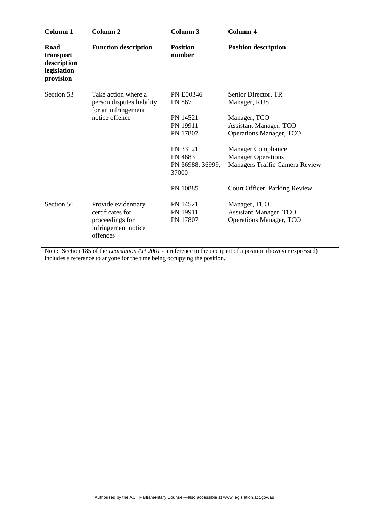| Column 1                                                     | Column <sub>2</sub>                                                            | Column 3                  | Column 4                         |
|--------------------------------------------------------------|--------------------------------------------------------------------------------|---------------------------|----------------------------------|
| Road<br>transport<br>description<br>legislation<br>provision | <b>Function description</b>                                                    | <b>Position</b><br>number | <b>Position description</b>      |
| Section 53                                                   | Take action where a                                                            | <b>PN E00346</b>          | Senior Director, TR              |
|                                                              | person disputes liability<br>for an infringement                               | PN 867                    | Manager, RUS                     |
|                                                              | notice offence                                                                 | PN 14521                  | Manager, TCO                     |
|                                                              |                                                                                | PN 19911                  | <b>Assistant Manager, TCO</b>    |
|                                                              |                                                                                | PN 17807                  | <b>Operations Manager, TCO</b>   |
|                                                              |                                                                                | PN 33121                  | <b>Manager Compliance</b>        |
|                                                              |                                                                                | PN 4683                   | <b>Manager Operations</b>        |
|                                                              |                                                                                | PN 36988, 36999,<br>37000 | Managers Traffic Camera Review   |
|                                                              |                                                                                | PN 10885                  | Court Officer, Parking Review    |
| Section 56                                                   | Provide evidentiary                                                            | PN 14521                  | Manager, TCO                     |
|                                                              | certificates for                                                               | PN 19911                  | <b>Assistant Manager, TCO</b>    |
|                                                              | proceedings for<br>infringement notice<br>offences                             | PN 17807                  | <b>Operations Manager, TCO</b>   |
|                                                              | Mater Restion $105$ of the Levi-Lating $A_{11}$ 2001 a meteorogy to the agency |                           | ant af a nashrida (banna<br>$-1$ |

Note**:** Section 185 of the *Legislation Act 2001* - a reference to the occupant of a position (however expressed) includes a reference to anyone for the time being occupying the position.